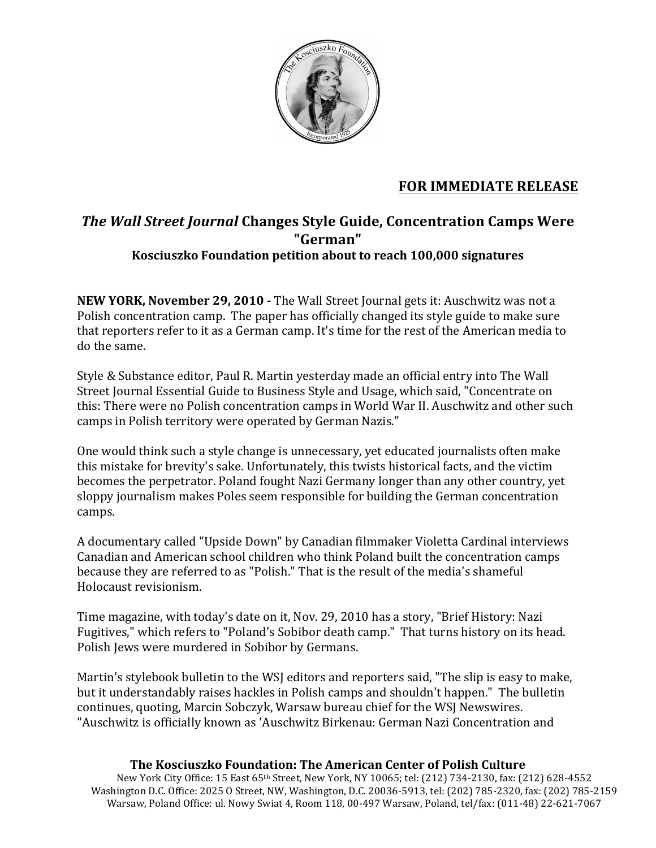

# FOR IMMEDIATE RELEASE

## *The Wall Street Journal Changes Style Guide, Concentration Camps Were* **"German"\$ Kosciuszko Foundation petition about to reach 100,000 signatures**

**NEW YORK, November 29, 2010 - The Wall Street Journal gets it: Auschwitz was not a** Polish concentration camp. The paper has officially changed its style guide to make sure that reporters refer to it as a German camp. It's time for the rest of the American media to do the same.

Style & Substance editor, Paul R. Martin yesterday made an official entry into The Wall Street Journal Essential Guide to Business Style and Usage, which said, "Concentrate on this: There were no Polish concentration camps in World War II. Auschwitz and other such camps in Polish territory were operated by German Nazis."

One would think such a style change is unnecessary, yet educated journalists often make this mistake for brevity's sake. Unfortunately, this twists historical facts, and the victim becomes the perpetrator. Poland fought Nazi Germany longer than any other country, yet sloppy journalism makes Poles seem responsible for building the German concentration camps.

A documentary called "Upside Down" by Canadian filmmaker Violetta Cardinal interviews Canadian and American school children who think Poland built the concentration camps because they are referred to as "Polish." That is the result of the media's shameful Holocaust revisionism.

Time magazine, with today's date on it, Nov. 29, 2010 has a story, "Brief History: Nazi Fugitives," which refers to "Poland's Sobibor death camp." That turns history on its head. Polish Jews were murdered in Sobibor by Germans.

Martin's stylebook bulletin to the WSJ editors and reporters said, "The slip is easy to make, but it understandably raises hackles in Polish camps and shouldn't happen." The bulletin continues, quoting, Marcin Sobczyk, Warsaw bureau chief for the WSJ Newswires. "Auschwitz is officially known as 'Auschwitz Birkenau: German Nazi Concentration and

### **The Kosciuszko Foundation: The American Center of Polish Culture**

New York City Office: 15 East 65<sup>th</sup> Street, New York, NY 10065; tel: (212) 734-2130, fax: (212) 628-4552 Washington D.C. Office: 2025 O Street, NW, Washington, D.C. 20036-5913, tel: (202) 785-2320, fax: (202) 785-2159 Warsaw, Poland Office: ul. Nowy Swiat 4, Room 118, 00-497 Warsaw, Poland, tel/fax: (011-48) 22-621-7067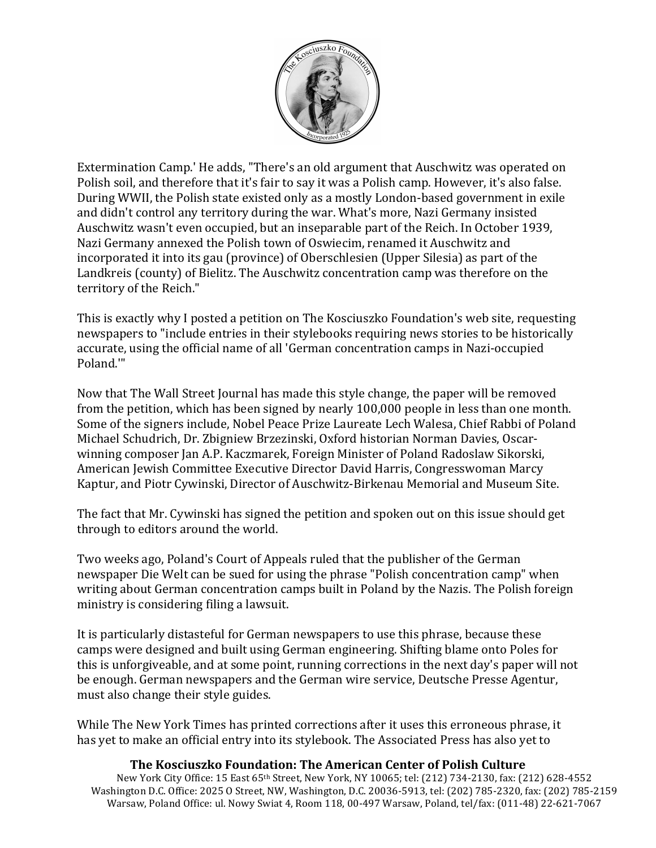

Extermination Camp.' He adds, "There's an old argument that Auschwitz was operated on Polish soil, and therefore that it's fair to say it was a Polish camp. However, it's also false. During WWII, the Polish state existed only as a mostly London-based government in exile and didn't control any territory during the war. What's more, Nazi Germany insisted Auschwitz wasn't even occupied, but an inseparable part of the Reich. In October 1939, Nazi Germany annexed the Polish town of Oswiecim, renamed it Auschwitz and incorporated it into its gau (province) of Oberschlesien (Upper Silesia) as part of the Landkreis (county) of Bielitz. The Auschwitz concentration camp was therefore on the territory of the Reich."

This is exactly why I posted a petition on The Kosciuszko Foundation's web site, requesting newspapers to "include entries in their stylebooks requiring news stories to be historically accurate, using the official name of all 'German concentration camps in Nazi-occupied Poland.""

Now that The Wall Street Journal has made this style change, the paper will be removed from the petition, which has been signed by nearly 100,000 people in less than one month. Some of the signers include, Nobel Peace Prize Laureate Lech Walesa, Chief Rabbi of Poland Michael Schudrich, Dr. Zbigniew Brzezinski, Oxford historian Norman Davies, Oscarwinning composer Jan A.P. Kaczmarek, Foreign Minister of Poland Radoslaw Sikorski, American Jewish Committee Executive Director David Harris, Congresswoman Marcy Kaptur, and Piotr Cywinski, Director of Auschwitz-Birkenau Memorial and Museum Site.

The fact that Mr. Cywinski has signed the petition and spoken out on this issue should get through to editors around the world.

Two weeks ago, Poland's Court of Appeals ruled that the publisher of the German newspaper Die Welt can be sued for using the phrase "Polish concentration camp" when writing about German concentration camps built in Poland by the Nazis. The Polish foreign ministry is considering filing a lawsuit.

It is particularly distasteful for German newspapers to use this phrase, because these camps were designed and built using German engineering. Shifting blame onto Poles for this is unforgiveable, and at some point, running corrections in the next day's paper will not be enough. German newspapers and the German wire service, Deutsche Presse Agentur, must also change their style guides.

While The New York Times has printed corrections after it uses this erroneous phrase, it has yet to make an official entry into its stylebook. The Associated Press has also yet to

### **The Kosciuszko Foundation: The American Center of Polish Culture**

New York City Office: 15 East 65th Street, New York, NY 10065; tel: (212) 734-2130, fax: (212) 628-4552 Washington D.C. Office: 2025 O Street, NW, Washington, D.C. 20036-5913, tel: (202) 785-2320, fax: (202) 785-2159 Warsaw, Poland Office: ul. Nowy Swiat 4, Room 118, 00-497 Warsaw, Poland, tel/fax: (011-48) 22-621-7067